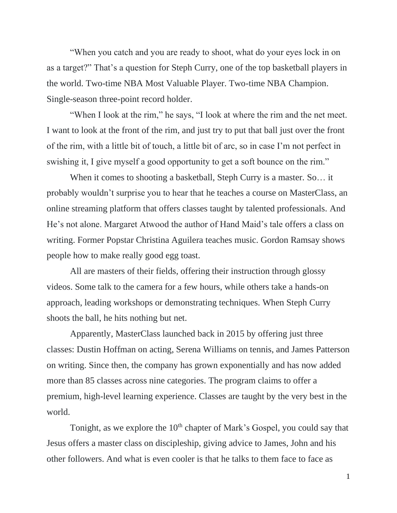"When you catch and you are ready to shoot, what do your eyes lock in on as a target?" That's a question for Steph Curry, one of the top basketball players in the world. Two-time NBA Most Valuable Player. Two-time NBA Champion. Single-season three-point record holder.

"When I look at the rim," he says, "I look at where the rim and the net meet. I want to look at the front of the rim, and just try to put that ball just over the front of the rim, with a little bit of touch, a little bit of arc, so in case I'm not perfect in swishing it, I give myself a good opportunity to get a soft bounce on the rim."

When it comes to shooting a basketball, Steph Curry is a master. So… it probably wouldn't surprise you to hear that he teaches a course on MasterClass, an online streaming platform that offers classes taught by talented professionals. And He's not alone. Margaret Atwood the author of Hand Maid's tale offers a class on writing. Former Popstar Christina Aguilera teaches music. Gordon Ramsay shows people how to make really good egg toast.

All are masters of their fields, offering their instruction through glossy videos. Some talk to the camera for a few hours, while others take a hands-on approach, leading workshops or demonstrating techniques. When Steph Curry shoots the ball, he hits nothing but net.

Apparently, MasterClass launched back in 2015 by offering just three classes: Dustin Hoffman on acting, Serena Williams on tennis, and James Patterson on writing. Since then, the company has grown exponentially and has now added more than 85 classes across nine categories. The program claims to offer a premium, high-level learning experience. Classes are taught by the very best in the world.

Tonight, as we explore the  $10<sup>th</sup>$  chapter of Mark's Gospel, you could say that Jesus offers a master class on discipleship, giving advice to James, John and his other followers. And what is even cooler is that he talks to them face to face as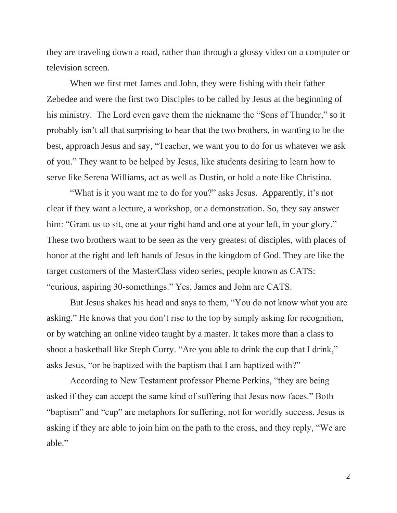they are traveling down a road, rather than through a glossy video on a computer or television screen.

When we first met James and John, they were fishing with their father Zebedee and were the first two Disciples to be called by Jesus at the beginning of his ministry. The Lord even gave them the nickname the "Sons of Thunder," so it probably isn't all that surprising to hear that the two brothers, in wanting to be the best, approach Jesus and say, "Teacher, we want you to do for us whatever we ask of you." They want to be helped by Jesus, like students desiring to learn how to serve like Serena Williams, act as well as Dustin, or hold a note like Christina.

"What is it you want me to do for you?" asks Jesus. Apparently, it's not clear if they want a lecture, a workshop, or a demonstration. So, they say answer him: "Grant us to sit, one at your right hand and one at your left, in your glory." These two brothers want to be seen as the very greatest of disciples, with places of honor at the right and left hands of Jesus in the kingdom of God. They are like the target customers of the MasterClass video series, people known as CATS: "curious, aspiring 30-somethings." Yes, James and John are CATS.

But Jesus shakes his head and says to them, "You do not know what you are asking." He knows that you don't rise to the top by simply asking for recognition, or by watching an online video taught by a master. It takes more than a class to shoot a basketball like Steph Curry. "Are you able to drink the cup that I drink," asks Jesus, "or be baptized with the baptism that I am baptized with?"

According to New Testament professor Pheme Perkins, "they are being asked if they can accept the same kind of suffering that Jesus now faces." Both "baptism" and "cup" are metaphors for suffering, not for worldly success. Jesus is asking if they are able to join him on the path to the cross, and they reply, "We are able."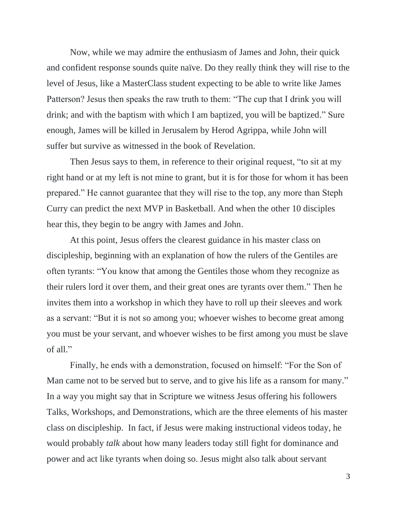Now, while we may admire the enthusiasm of James and John, their quick and confident response sounds quite naïve. Do they really think they will rise to the level of Jesus, like a MasterClass student expecting to be able to write like James Patterson? Jesus then speaks the raw truth to them: "The cup that I drink you will drink; and with the baptism with which I am baptized, you will be baptized." Sure enough, James will be killed in Jerusalem by Herod Agrippa, while John will suffer but survive as witnessed in the book of Revelation.

Then Jesus says to them, in reference to their original request, "to sit at my right hand or at my left is not mine to grant, but it is for those for whom it has been prepared." He cannot guarantee that they will rise to the top, any more than Steph Curry can predict the next MVP in Basketball. And when the other 10 disciples hear this, they begin to be angry with James and John.

At this point, Jesus offers the clearest guidance in his master class on discipleship, beginning with an explanation of how the rulers of the Gentiles are often tyrants: "You know that among the Gentiles those whom they recognize as their rulers lord it over them, and their great ones are tyrants over them." Then he invites them into a workshop in which they have to roll up their sleeves and work as a servant: "But it is not so among you; whoever wishes to become great among you must be your servant, and whoever wishes to be first among you must be slave of all."

Finally, he ends with a demonstration, focused on himself: "For the Son of Man came not to be served but to serve, and to give his life as a ransom for many." In a way you might say that in Scripture we witness Jesus offering his followers Talks, Workshops, and Demonstrations, which are the three elements of his master class on discipleship. In fact, if Jesus were making instructional videos today, he would probably *talk* about how many leaders today still fight for dominance and power and act like tyrants when doing so. Jesus might also talk about servant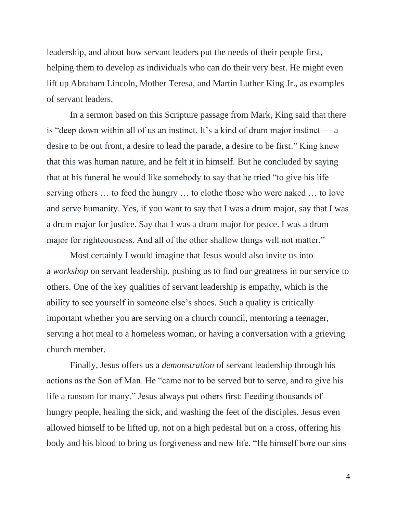leadership, and about how servant leaders put the needs of their people first, helping them to develop as individuals who can do their very best. He might even lift up Abraham Lincoln, Mother Teresa, and Martin Luther King Jr., as examples of servant leaders.

In a sermon based on this Scripture passage from Mark, King said that there is "deep down within all of us an instinct. It's a kind of drum major instinct — a desire to be out front, a desire to lead the parade, a desire to be first." King knew that this was human nature, and he felt it in himself. But he concluded by saying that at his funeral he would like somebody to say that he tried "to give his life serving others … to feed the hungry … to clothe those who were naked … to love and serve humanity. Yes, if you want to say that I was a drum major, say that I was a drum major for justice. Say that I was a drum major for peace. I was a drum major for righteousness. And all of the other shallow things will not matter."

Most certainly I would imagine that Jesus would also invite us into a *workshop* on servant leadership, pushing us to find our greatness in our service to others. One of the key qualities of servant leadership is empathy, which is the ability to see yourself in someone else's shoes. Such a quality is critically important whether you are serving on a church council, mentoring a teenager, serving a hot meal to a homeless woman, or having a conversation with a grieving church member.

Finally, Jesus offers us a *demonstration* of servant leadership through his actions as the Son of Man. He "came not to be served but to serve, and to give his life a ransom for many." Jesus always put others first: Feeding thousands of hungry people, healing the sick, and washing the feet of the disciples. Jesus even allowed himself to be lifted up, not on a high pedestal but on a cross, offering his body and his blood to bring us forgiveness and new life. "He himself bore our sins